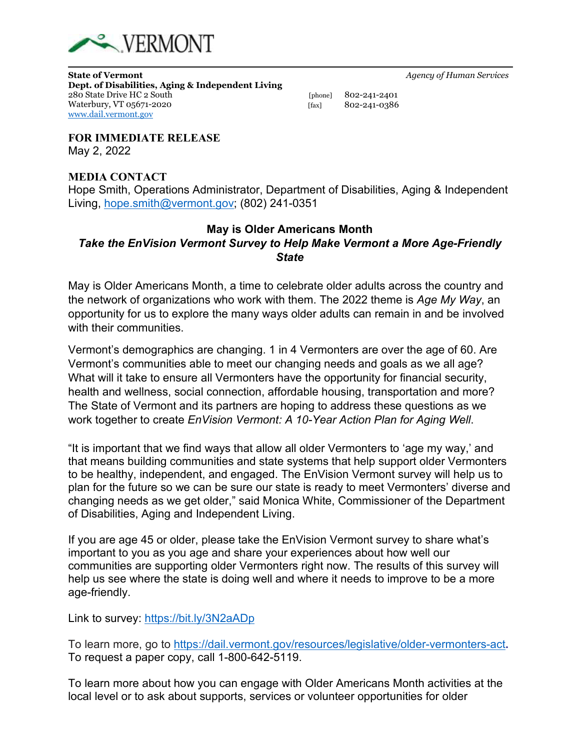

**State of Vermont** *Agency of Human Services* **Dept. of Disabilities, Aging & Independent Living** 280 State Drive HC 2 South[phone] 802-241-2401 Waterbury, VT 05671-2020[fax] 802-241-0386 [www.dail.vermont.gov](http://www.dail.vermont.gov/)

**FOR IMMEDIATE RELEASE** May 2, 2022

## **MEDIA CONTACT**

Hope Smith, Operations Administrator, Department of Disabilities, Aging & Independent Living, [hope.smith@vermont.gov;](mailto:hope.smith@vermont.gov) (802) 241-0351

## **May is Older Americans Month**

## *Take the EnVision Vermont Survey to Help Make Vermont a More Age-Friendly State*

May is Older Americans Month, a time to celebrate older adults across the country and the network of organizations who work with them. The 2022 theme is *Age My Way*, an opportunity for us to explore the many ways older adults can remain in and be involved with their communities.

Vermont's demographics are changing. 1 in 4 Vermonters are over the age of 60. Are Vermont's communities able to meet our changing needs and goals as we all age? What will it take to ensure all Vermonters have the opportunity for financial security, health and wellness, social connection, affordable housing, transportation and more? The State of Vermont and its partners are hoping to address these questions as we work together to create *EnVision Vermont: A 10-Year Action Plan for Aging Well*.

"It is important that we find ways that allow all older Vermonters to 'age my way,' and that means building communities and state systems that help support older Vermonters to be healthy, independent, and engaged. The EnVision Vermont survey will help us to plan for the future so we can be sure our state is ready to meet Vermonters' diverse and changing needs as we get older," said Monica White, Commissioner of the Department of Disabilities, Aging and Independent Living.

If you are age 45 or older, please take the EnVision Vermont survey to share what's important to you as you age and share your experiences about how well our communities are supporting older Vermonters right now. The results of this survey will help us see where the state is doing well and where it needs to improve to be a more age-friendly.

Link to survey: <https://bit.ly/3N2aADp>

To learn more, go to<https://dail.vermont.gov/resources/legislative/older-vermonters-act>**.**  To request a paper copy, call 1-800-642-5119.

To learn more about how you can engage with Older Americans Month activities at the local level or to ask about supports, services or volunteer opportunities for older